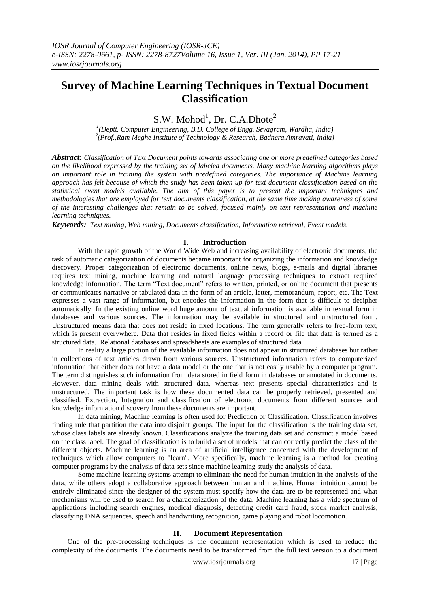# **Survey of Machine Learning Techniques in Textual Document Classification**

 $S.W.$  Mohod<sup>1</sup>, Dr. C.A.Dhote<sup>2</sup>

*1 (Deptt. Computer Engineering, B.D. College of Engg. Sevagram, Wardha, India) 2 (Prof.,Ram Meghe Institute of Technology & Research, Badnera.Amravati, India)*

*Abstract: Classification of Text Document points towards associating one or more predefined categories based on the likelihood expressed by the training set of labeled documents. Many machine learning algorithms plays an important role in training the system with predefined categories. The importance of Machine learning approach has felt because of which the study has been taken up for text document classification based on the statistical event models available. The aim of this paper is to present the important techniques and methodologies that are employed for text documents classification, at the same time making awareness of some of the interesting challenges that remain to be solved, focused mainly on text representation and machine learning techniques.* 

*Keywords: Text mining, Web mining, Documents classification, Information retrieval, Event models.*

# **I. Introduction**

With the rapid growth of the World Wide Web and increasing availability of electronic documents, the task of automatic categorization of documents became important for organizing the information and knowledge discovery. Proper categorization of electronic documents, online news, blogs, e-mails and digital libraries requires text mining, machine learning and natural language processing techniques to extract required knowledge information. The term "Text document" refers to written, printed, or [online](http://www.businessdictionary.com/definition/online.html) [document](http://www.businessdictionary.com/definition/document.html) that presents or communicates narrative or tabulated [data](http://www.businessdictionary.com/definition/data.html) in the [form](http://www.businessdictionary.com/definition/form.html) of an [article,](http://www.businessdictionary.com/definition/article.html) [letter,](http://www.businessdictionary.com/definition/letter.html) [memorandum,](http://www.businessdictionary.com/definition/memorandum-memo.html) [report,](http://www.businessdictionary.com/definition/report.html) etc. The Text expresses a vast range of information, but encodes the information in the form that is difficult to decipher automatically. In the existing online word huge amount of textual information is available in textual form in databases and various sources. The information may be available in structured and unstructured form. Unstructured means data that does not reside in fixed locations. The term generally refers to free-form text, which is present everywhere. Data that resides in fixed fields within a record or file that data is termed as a structured data. Relational databases and spreadsheets are examples of structured data.

In reality a large portion of the available information does not appear in structured databases but rather in collections of text articles drawn from various sources. Unstructured information refers to computerized information that either does not have a [data model](http://en.wikipedia.org/wiki/Data_model) or the one that is not easily usable by a computer program. The term distinguishes such information from data stored in field form in databases or annotated in documents. However, data mining deals with structured data, whereas text presents special characteristics and is unstructured. The important task is how these documented data can be properly retrieved, presented and classified. Extraction, Integration and classification of electronic documents from different sources and knowledge information discovery from these documents are important.

In data mining, Machine learning is often used for Prediction or Classification. Classification involves finding rule that partition the data into disjoint groups. The input for the classification is the training data set, whose class labels are already known. Classifications analyze the training data set and construct a model based on the class label. The goal of classification is to build a set of models that can correctly predict the class of the different objects. Machine learning is an area of [artificial intelligence](http://www.wordiq.com/definition/Artificial_intelligence) concerned with the development of techniques which allow computers to "learn". More specifically, machine learning is a method for creating computer programs by the analysis of data sets since machine learning study the analysis of data.

Some machine learning systems attempt to eliminate the need for human intuition in the analysis of the data, while others adopt a collaborative approach between human and machine. Human intuition cannot be entirely eliminated since the designer of the system must specify how the data are to be represented and what mechanisms will be used to search for a characterization of the data. Machine learning has a wide spectrum of applications including [search engines,](http://www.wordiq.com/definition/Search_engines) medical diagnosis, detecting [credit card fraud,](http://www.wordiq.com/definition/Credit_card_fraud) [stock market](http://www.wordiq.com/definition/Stock_market) analysis, classifying [DNA sequences,](http://www.wordiq.com/definition/DNA_sequence) [speech](http://www.wordiq.com/definition/Speech_recognition) and [handwriting](http://www.wordiq.com/definition/Handwriting_recognition) recognition, [game playing](http://www.wordiq.com/definition/Strategy_game) and [robot locomotion.](http://www.wordiq.com/definition/Robot_locomotion)

## **II. Document Representation**

One of the pre-processing techniques is the document representation which is used to reduce the complexity of the documents. The documents need to be transformed from the full text version to a document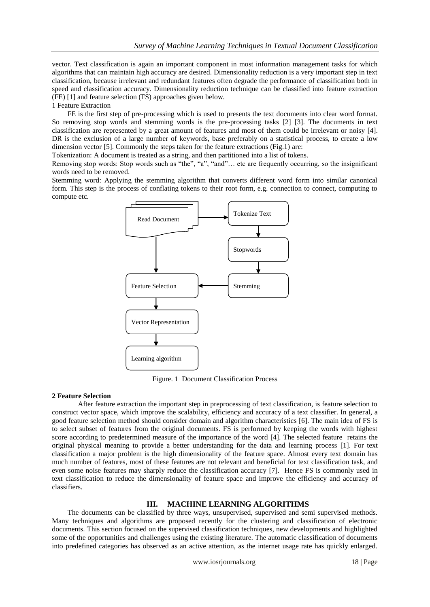vector. Text classification is again an important component in most information management tasks for which algorithms that can maintain high accuracy are desired. Dimensionality reduction is a very important step in text classification, because irrelevant and redundant features often degrade the performance of classification both in speed and classification accuracy. Dimensionality reduction technique can be classified into feature extraction (FE) [1] and feature selection (FS) approaches given below.

1 Feature Extraction

FE is the first step of pre-processing which is used to presents the text documents into clear word format. So removing stop words and stemming words is the pre-processing tasks [2] [3]. The documents in text classification are represented by a great amount of features and most of them could be irrelevant or noisy [4]. DR is the exclusion of a large number of keywords, base preferably on a statistical process, to create a low dimension vector [5]. Commonly the steps taken for the feature extractions (Fig.1) are:

Tokenization: A document is treated as a string, and then partitioned into a list of tokens.

Removing stop words: Stop words such as "the", "a", "and"… etc are frequently occurring, so the insignificant words need to be removed.

Stemming word: Applying the stemming algorithm that converts different word form into similar canonical form. This step is the process of conflating tokens to their root form, e.g. connection to connect, computing to compute etc.



Figure. 1 Document Classification Process

#### **2 Feature Selection**

After feature extraction the important step in preprocessing of text classification, is feature selection to construct vector space, which improve the scalability, efficiency and accuracy of a text classifier. In general, a good feature selection method should consider domain and algorithm characteristics [6]. The main idea of FS is to select subset of features from the original documents. FS is performed by keeping the words with highest score according to predetermined measure of the importance of the word [4]. The selected feature retains the original physical meaning to provide a better understanding for the data and learning process [1]. For text classification a major problem is the high dimensionality of the feature space. Almost every text domain has much number of features, most of these features are not relevant and beneficial for text classification task, and even some noise features may sharply reduce the classification accuracy [7]. Hence FS is commonly used in text classification to reduce the dimensionality of feature space and improve the efficiency and accuracy of classifiers.

### **III. MACHINE LEARNING ALGORITHMS**

The documents can be classified by three ways, unsupervised, supervised and semi supervised methods. Many techniques and algorithms are proposed recently for the clustering and classification of electronic documents. This section focused on the supervised classification techniques, new developments and highlighted some of the opportunities and challenges using the existing literature. The automatic classification of documents into predefined categories has observed as an active attention, as the internet usage rate has quickly enlarged.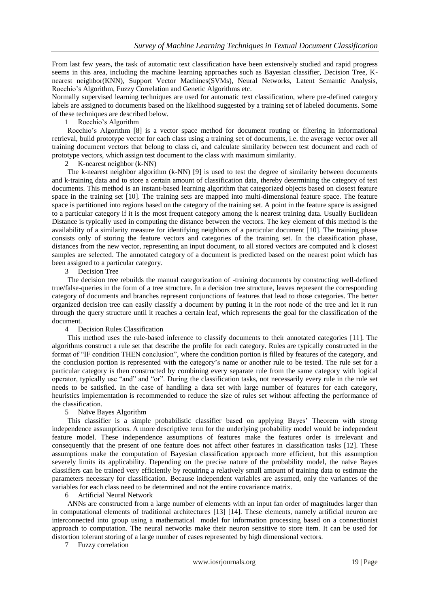From last few years, the task of automatic text classification have been extensively studied and rapid progress seems in this area, including the machine learning approaches such as Bayesian classifier, Decision Tree, Knearest neighbor(KNN), Support Vector Machines(SVMs), Neural Networks, Latent Semantic Analysis, Rocchio's Algorithm, Fuzzy Correlation and Genetic Algorithms etc.

Normally supervised learning techniques are used for automatic text classification, where pre-defined category labels are assigned to documents based on the likelihood suggested by a training set of labeled documents. Some of these techniques are described below.

1 Rocchio's Algorithm

Rocchio's Algorithm [8] is a vector space method for document routing or filtering in informational retrieval, build prototype vector for each class using a training set of documents, i.e. the average vector over all training document vectors that belong to class ci, and calculate similarity between test document and each of prototype vectors, which assign test document to the class with maximum similarity.

2 K-nearest neighbor (k-NN)

The k-nearest neighbor algorithm (k-NN) [9] is used to test the degree of similarity between documents and k-training data and to store a certain amount of classification data, thereby determining the category of test documents. This method is an instant-based learning algorithm that categorized objects based on closest feature space in the training set [10]. The training sets are mapped into multi-dimensional feature space. The feature space is partitioned into regions based on the category of the training set. A point in the feature space is assigned to a particular category if it is the most frequent category among the k nearest training data. Usually Euclidean Distance is typically used in computing the distance between the vectors. The key element of this method is the availability of a similarity measure for identifying neighbors of a particular document [10]. The training phase consists only of storing the feature vectors and categories of the training set. In the classification phase, distances from the new vector, representing an input document, to all stored vectors are computed and k closest samples are selected. The annotated category of a document is predicted based on the nearest point which has been assigned to a particular category.

3 Decision Tree

The decision tree rebuilds the manual categorization of -training documents by constructing well-defined true/false-queries in the form of a tree structure. In a decision tree structure, leaves represent the corresponding category of documents and branches represent conjunctions of features that lead to those categories. The better organized decision tree can easily classify a document by putting it in the root node of the tree and let it run through the query structure until it reaches a certain leaf, which represents the goal for the classification of the document.

4 Decision Rules Classification

This method uses the rule-based inference to classify documents to their annotated categories [11]. The algorithms construct a rule set that describe the profile for each category. Rules are typically constructed in the format of "IF condition THEN conclusion", where the condition portion is filled by features of the category, and the conclusion portion is represented with the category's name or another rule to be tested. The rule set for a particular category is then constructed by combining every separate rule from the same category with logical operator, typically use "and" and "or". During the classification tasks, not necessarily every rule in the rule set needs to be satisfied. In the case of handling a data set with large number of features for each category, heuristics implementation is recommended to reduce the size of rules set without affecting the performance of the classification.

5 Naïve Bayes Algorithm

This classifier is a simple probabilistic classifier based on applying Bayes' Theorem with strong independence assumptions. A more descriptive term for the underlying probability model would be independent feature model. These independence assumptions of features make the features order is irrelevant and consequently that the present of one feature does not affect other features in classification tasks [12]. These assumptions make the computation of Bayesian classification approach more efficient, but this assumption severely limits its applicability. Depending on the precise nature of the probability model, the naïve Bayes classifiers can be trained very efficiently by requiring a relatively small amount of training data to estimate the parameters necessary for classification. Because independent variables are assumed, only the variances of the variables for each class need to be determined and not the entire covariance matrix.

6 Artificial Neural Network

ANNs are constructed from a large number of elements with an input fan order of magnitudes larger than in computational elements of traditional architectures [13] [14]. These elements, namely artificial neuron are interconnected into group using a mathematical model for information processing based on a connectionist approach to computation. The neural networks make their neuron sensitive to store item. It can be used for distortion tolerant storing of a large number of cases represented by high dimensional vectors.

7 Fuzzy correlation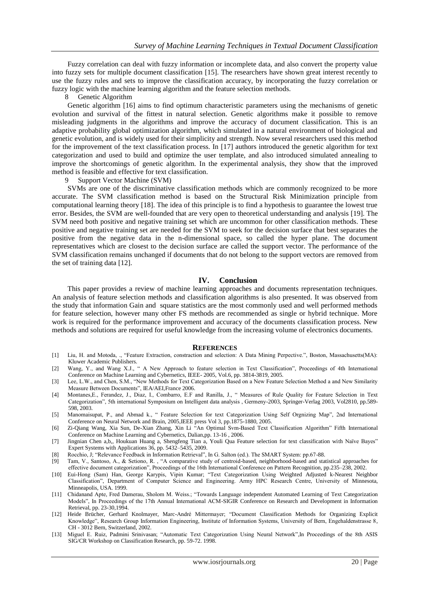Fuzzy correlation can deal with fuzzy information or incomplete data, and also convert the property value into fuzzy sets for multiple document classification [15]. The researchers have shown great interest recently to use the fuzzy rules and sets to improve the classification accuracy, by incorporating the fuzzy correlation or fuzzy logic with the machine learning algorithm and the feature selection methods.

#### 8 Genetic Algorithm

Genetic algorithm [16] aims to find optimum characteristic parameters using the mechanisms of genetic evolution and survival of the fittest in natural selection. Genetic algorithms make it possible to remove misleading judgments in the algorithms and improve the accuracy of document classification. This is an adaptive probability global optimization algorithm, which simulated in a natural environment of biological and genetic evolution, and is widely used for their simplicity and strength. Now several researchers used this method for the improvement of the text classification process. In [17] authors introduced the genetic algorithm for text categorization and used to build and optimize the user template, and also introduced simulated annealing to improve the shortcomings of genetic algorithm. In the experimental analysis, they show that the improved method is feasible and effective for text classification.

### Support Vector Machine (SVM)

SVMs are one of the discriminative classification methods which are commonly recognized to be more accurate. The SVM classification method is based on the Structural Risk Minimization principle from computational learning theory [18]. The idea of this principle is to find a hypothesis to guarantee the lowest true error. Besides, the SVM are well-founded that are very open to theoretical understanding and analysis [19]. The SVM need both positive and negative training set which are uncommon for other classification methods. These positive and negative training set are needed for the SVM to seek for the decision surface that best separates the positive from the negative data in the n-dimensional space, so called the hyper plane. The document representatives which are closest to the decision surface are called the support vector. The performance of the SVM classification remains unchanged if documents that do not belong to the support vectors are removed from the set of training data [12].

## **IV. Conclusion**

This paper provides a review of machine learning approaches and documents representation techniques. An analysis of feature selection methods and classification algorithms is also presented. It was observed from the study that information Gain and square statistics are the most commonly used and well performed methods for feature selection, however many other FS methods are recommended as single or hybrid technique. More work is required for the performance improvement and accuracy of the documents classification process. New methods and solutions are required for useful knowledge from the increasing volume of electronics documents.

#### **REFERENCES**

- [1] Liu, H. and Motoda, ., "Feature Extraction, constraction and selection: A Data Mining Perpective.", Boston, Massachusetts(MA): Kluwer Academic Publishers.
- [2] Wang, Y., and Wang X.J., " A New Approach to feature selection in Text Classification", Proceedings of 4th International Conference on Machine Learning and Cybernetics, IEEE- 2005, Vol.6, pp. 3814-3819, 2005.
- [3] Lee, L.W., and Chen, S.M., "New Methods for Text Categorization Based on a New Feature Selection Method a and New Similarity Measure Between Documents", IEA/AEI,France 2006.
- [4] Montanes,E., Ferandez, J., Diaz, I., Combarro, E.F and Ranilla, J., " Measures of Rule Quality for Feature Selection in Text Categorization", 5th international Symposium on Intelligent data analysis , Germeny-2003, Springer-Verlag 2003, Vol2810, pp.589- 598, 2003.
- [5] Manomaisupat, P., and Abmad k., " Feature Selection for text Categorization Using Self Orgnizing Map", 2nd International Conference on Neural Network and Brain, 2005, IEEE press Vol 3, pp.1875-1880, 2005.
- [6] Zi-Qiang Wang, Xia Sun, De-Xian Zhang, Xin Li "An Optimal Svm-Based Text Classification Algorithm" Fifth International Conference on Machine Learning and Cybernetics, Dalian,pp. 13-16 , 2006.
- [7] Jingnian Chen a,b,, Houkuan Huang a, Shengfeng Tian a, Youli Qua Feature selection for text classification with Naïve Bayes" Expert Systems with Applications  $36$ , pp.  $5432 - 5435$ , 2009.
- [8] Rocchio, J; "Relevance Feedback in Information Retrieval", In G. Salton (ed.). The SMART System: pp.67-88.
- [9] Tam, V., Santoso, A., & Setiono, R. , "A comparative study of centroid-based, neighborhood-based and statistical approaches for effective document categorization", Proceedings of the 16th International Conference on Pattern Recognition, pp.235–238, 2002.
- [10] Eui-Hong (Sam) Han, George Karypis, Vipin Kumar; "Text Categorization Using Weighted Adjusted k-Nearest Neighbor Classification", Department of Computer Science and Engineering. Army HPC Research Centre, University of Minnesota, Minneapolis, USA. 1999.
- [11] Chidanand Apte, Fred Damerau, Sholom M. Weiss.; "Towards Language independent Automated Learning of Text Categorization Models", In Proceedings of the 17th Annual International ACM-SIGIR Conference on Research and Development in Information Retrieval, pp. 23-30,1994.
- [12] Heide Brücher, Gerhard Knolmayer, Marc-André Mittermayer; "Document Classification Methods for Organizing Explicit Knowledge", Research Group Information Engineering, Institute of Information Systems, University of Bern, Engehaldenstrasse 8, CH - 3012 Bern, Switzerland, 2002.
- [13] Miguel E. Ruiz, Padmini Srinivasan; "Automatic Text Categorization Using Neural Network",In Proceedings of the 8th ASIS SIG/CR Workshop on Classification Research, pp. 59-72. 1998.